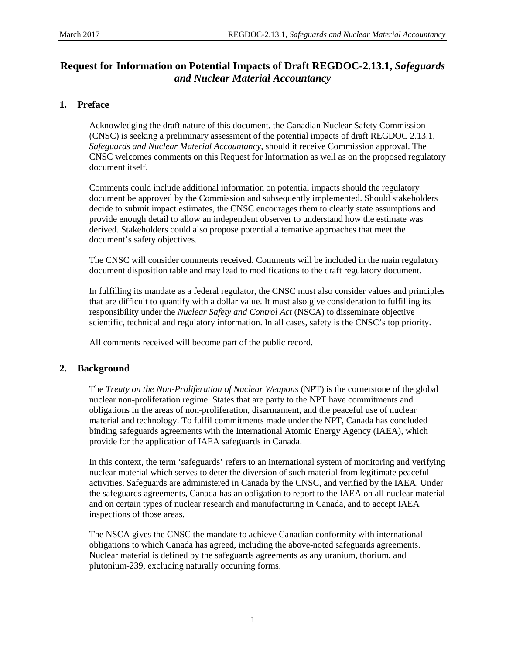# **Request for Information on Potential Impacts of Draft REGDOC-2.13.1,** *Safeguards and Nuclear Material Accountancy*

## **1. Preface**

Acknowledging the draft nature of this document, the Canadian Nuclear Safety Commission (CNSC) is seeking a preliminary assessment of the potential impacts of draft REGDOC 2.13.1, *Safeguards and Nuclear Material Accountancy*, should it receive Commission approval. The CNSC welcomes comments on this Request for Information as well as on the proposed regulatory document itself.

Comments could include additional information on potential impacts should the regulatory document be approved by the Commission and subsequently implemented. Should stakeholders decide to submit impact estimates, the CNSC encourages them to clearly state assumptions and provide enough detail to allow an independent observer to understand how the estimate was derived. Stakeholders could also propose potential alternative approaches that meet the document's safety objectives.

The CNSC will consider comments received. Comments will be included in the main regulatory document disposition table and may lead to modifications to the draft regulatory document.

In fulfilling its mandate as a federal regulator, the CNSC must also consider values and principles that are difficult to quantify with a dollar value. It must also give consideration to fulfilling its responsibility under the *Nuclear Safety and Control Act* (NSCA) to disseminate objective scientific, technical and regulatory information. In all cases, safety is the CNSC's top priority.

All comments received will become part of the public record.

## **2. Background**

The *Treaty on the Non-Proliferation of Nuclear Weapons* (NPT) is the cornerstone of the global nuclear non-proliferation regime. States that are party to the NPT have commitments and obligations in the areas of non-proliferation, disarmament, and the peaceful use of nuclear material and technology. To fulfil commitments made under the NPT, Canada has concluded binding safeguards agreements with the International Atomic Energy Agency (IAEA), which provide for the application of IAEA safeguards in Canada.

In this context, the term 'safeguards' refers to an international system of monitoring and verifying nuclear material which serves to deter the diversion of such material from legitimate peaceful activities. Safeguards are administered in Canada by the CNSC, and verified by the IAEA. Under the safeguards agreements, Canada has an obligation to report to the IAEA on all nuclear material and on certain types of nuclear research and manufacturing in Canada, and to accept IAEA inspections of those areas.

The NSCA gives the CNSC the mandate to achieve Canadian conformity with international obligations to which Canada has agreed, including the above-noted safeguards agreements. Nuclear material is defined by the safeguards agreements as any uranium, thorium, and plutonium-239, excluding naturally occurring forms.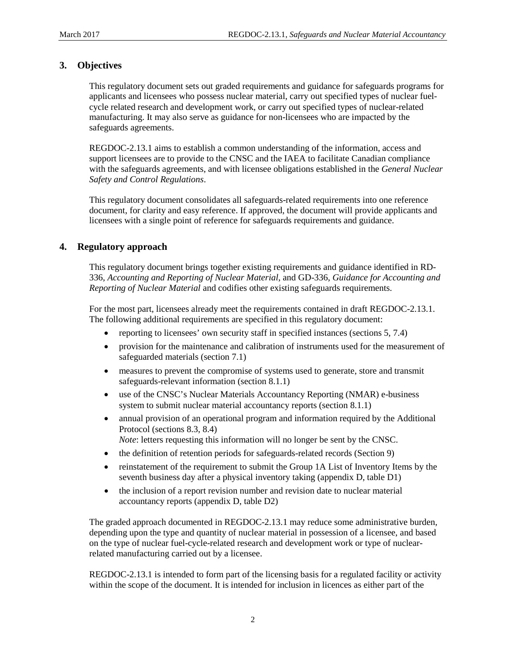## **3. Objectives**

This regulatory document sets out graded requirements and guidance for safeguards programs for applicants and licensees who possess nuclear material, carry out specified types of nuclear fuelcycle related research and development work, or carry out specified types of nuclear-related manufacturing. It may also serve as guidance for non-licensees who are impacted by the safeguards agreements.

REGDOC-2.13.1 aims to establish a common understanding of the information, access and support licensees are to provide to the CNSC and the IAEA to facilitate Canadian compliance with the safeguards agreements, and with licensee obligations established in the *General Nuclear Safety and Control Regulations*.

This regulatory document consolidates all safeguards-related requirements into one reference document, for clarity and easy reference. If approved, the document will provide applicants and licensees with a single point of reference for safeguards requirements and guidance.

### **4. Regulatory approach**

This regulatory document brings together existing requirements and guidance identified in RD-336, *Accounting and Reporting of Nuclear Material*, and GD-336, *Guidance for Accounting and Reporting of Nuclear Material* and codifies other existing safeguards requirements.

For the most part, licensees already meet the requirements contained in draft REGDOC-2.13.1. The following additional requirements are specified in this regulatory document:

- reporting to licensees' own security staff in specified instances (sections 5, 7.4)
- provision for the maintenance and calibration of instruments used for the measurement of safeguarded materials (section 7.1)
- measures to prevent the compromise of systems used to generate, store and transmit safeguards-relevant information (section 8.1.1)
- use of the CNSC's Nuclear Materials Accountancy Reporting (NMAR) e-business system to submit nuclear material accountancy reports (section 8.1.1)
- annual provision of an operational program and information required by the Additional Protocol (sections 8.3, 8.4)
- *Note*: letters requesting this information will no longer be sent by the CNSC.
- the definition of retention periods for safeguards-related records (Section 9)
- reinstatement of the requirement to submit the Group 1A List of Inventory Items by the seventh business day after a physical inventory taking (appendix D, table D1)
- the inclusion of a report revision number and revision date to nuclear material accountancy reports (appendix D, table D2)

The graded approach documented in REGDOC-2.13.1 may reduce some administrative burden, depending upon the type and quantity of nuclear material in possession of a licensee, and based on the type of nuclear fuel-cycle-related research and development work or type of nuclearrelated manufacturing carried out by a licensee.

REGDOC-2.13.1 is intended to form part of the licensing basis for a regulated facility or activity within the scope of the document. It is intended for inclusion in licences as either part of the